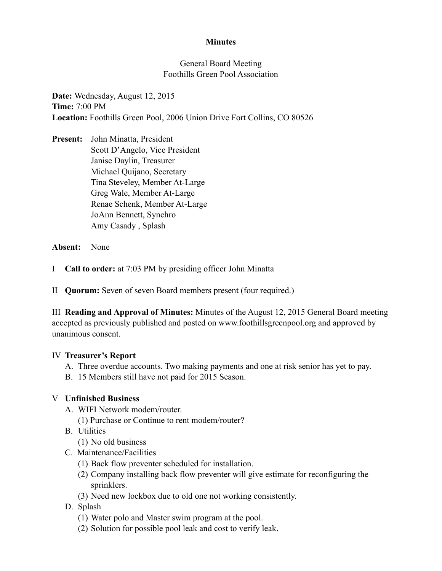### **Minutes**

### General Board Meeting Foothills Green Pool Association

**Date:** Wednesday, August 12, 2015 **Time:** 7:00 PM **Location:** Foothills Green Pool, 2006 Union Drive Fort Collins, CO 80526

**Present:** John Minatta, President Scott D'Angelo, Vice President Janise Daylin, Treasurer Michael Quijano, Secretary Tina Steveley, Member At-Large Greg Wale, Member At-Large Renae Schenk, Member At-Large JoAnn Bennett, Synchro Amy Casady , Splash

**Absent:** None

I **Call to order:** at 7:03 PM by presiding officer John Minatta

II **Quorum:** Seven of seven Board members present (four required.)

III **Reading and Approval of Minutes:** Minutes of the August 12, 2015 General Board meeting accepted as previously published and posted on www.foothillsgreenpool.org and approved by unanimous consent.

### IV **Treasurer's Report**

- A. Three overdue accounts. Two making payments and one at risk senior has yet to pay.
- B. 15 Members still have not paid for 2015 Season.

# V **Unfinished Business**

- A. WIFI Network modem/router.
	- (1) Purchase or Continue to rent modem/router?
- B. Utilities
	- (1) No old business
- C. Maintenance/Facilities
	- (1) Back flow preventer scheduled for installation.
	- (2) Company installing back flow preventer will give estimate for reconfiguring the sprinklers.
	- (3) Need new lockbox due to old one not working consistently.
- D. Splash
	- (1) Water polo and Master swim program at the pool.
	- (2) Solution for possible pool leak and cost to verify leak.